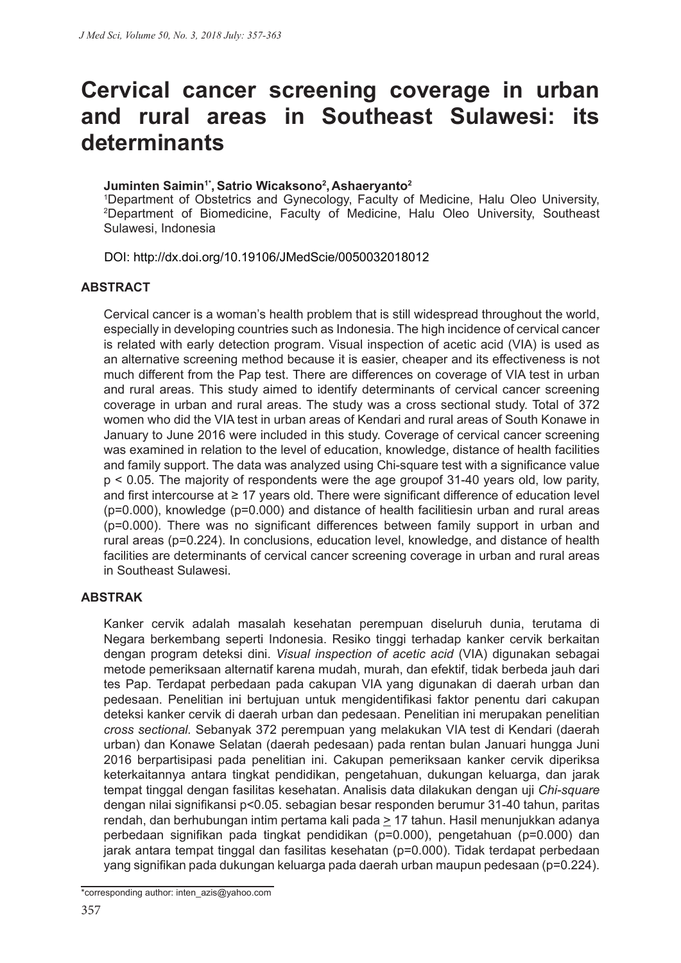# **Cervical cancer screening coverage in urban and rural areas in Southeast Sulawesi: its determinants**

#### Juminten Saimin<sup>1\*</sup>, Satrio Wicaksono<sup>2</sup>, Ashaeryanto<sup>2</sup>

1 Department of Obstetrics and Gynecology, Faculty of Medicine, Halu Oleo University, 2 Department of Biomedicine, Faculty of Medicine, Halu Oleo University, Southeast Sulawesi, Indonesia

DOI: http://dx.doi.org/10.19106/JMedScie/0050032018012

#### **ABSTRACT**

Cervical cancer is a woman's health problem that is still widespread throughout the world, especially in developing countries such as Indonesia. The high incidence of cervical cancer is related with early detection program. Visual inspection of acetic acid (VIA) is used as an alternative screening method because it is easier, cheaper and its effectiveness is not much different from the Pap test. There are differences on coverage of VIA test in urban and rural areas. This study aimed to identify determinants of cervical cancer screening coverage in urban and rural areas. The study was a cross sectional study. Total of 372 women who did the VIA test in urban areas of Kendari and rural areas of South Konawe in January to June 2016 were included in this study. Coverage of cervical cancer screening was examined in relation to the level of education, knowledge, distance of health facilities and family support. The data was analyzed using Chi-square test with a significance value p < 0.05. The majority of respondents were the age groupof 31-40 years old, low parity, and first intercourse at ≥ 17 years old. There were significant difference of education level (p=0.000), knowledge (p=0.000) and distance of health facilitiesin urban and rural areas (p=0.000). There was no significant differences between family support in urban and rural areas (p=0.224). In conclusions, education level, knowledge, and distance of health facilities are determinants of cervical cancer screening coverage in urban and rural areas in Southeast Sulawesi.

#### **ABSTRAK**

Kanker cervik adalah masalah kesehatan perempuan diseluruh dunia, terutama di Negara berkembang seperti Indonesia. Resiko tinggi terhadap kanker cervik berkaitan dengan program deteksi dini. *Visual inspection of acetic acid* (VIA) digunakan sebagai metode pemeriksaan alternatif karena mudah, murah, dan efektif, tidak berbeda jauh dari tes Pap. Terdapat perbedaan pada cakupan VIA yang digunakan di daerah urban dan pedesaan. Penelitian ini bertujuan untuk mengidentifikasi faktor penentu dari cakupan deteksi kanker cervik di daerah urban dan pedesaan. Penelitian ini merupakan penelitian *cross sectional.* Sebanyak 372 perempuan yang melakukan VIA test di Kendari (daerah urban) dan Konawe Selatan (daerah pedesaan) pada rentan bulan Januari hungga Juni 2016 berpartisipasi pada penelitian ini. Cakupan pemeriksaan kanker cervik diperiksa keterkaitannya antara tingkat pendidikan, pengetahuan, dukungan keluarga, dan jarak tempat tinggal dengan fasilitas kesehatan. Analisis data dilakukan dengan uji *Chi-square*  dengan nilai signifikansi p<0.05. sebagian besar responden berumur 31-40 tahun, paritas rendah, dan berhubungan intim pertama kali pada > 17 tahun. Hasil menunjukkan adanya perbedaan signifikan pada tingkat pendidikan (p=0.000), pengetahuan (p=0.000) dan jarak antara tempat tinggal dan fasilitas kesehatan (p=0.000). Tidak terdapat perbedaan yang signifikan pada dukungan keluarga pada daerah urban maupun pedesaan (p=0.224).

\*corresponding author: inten\_azis@yahoo.com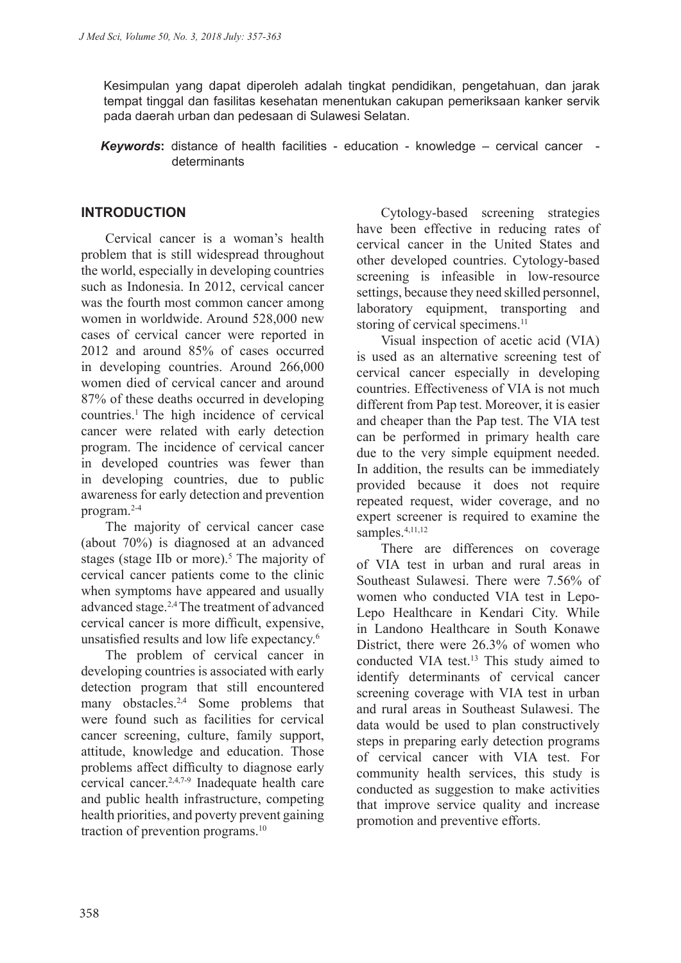Kesimpulan yang dapat diperoleh adalah tingkat pendidikan, pengetahuan, dan jarak tempat tinggal dan fasilitas kesehatan menentukan cakupan pemeriksaan kanker servik pada daerah urban dan pedesaan di Sulawesi Selatan.

*Keywords***:** distance of health facilities - education - knowledge – cervical cancer determinants

#### **INTRODUCTION**

Cervical cancer is a woman's health problem that is still widespread throughout the world, especially in developing countries such as Indonesia. In 2012, cervical cancer was the fourth most common cancer among women in worldwide. Around 528,000 new cases of cervical cancer were reported in 2012 and around 85% of cases occurred in developing countries. Around 266,000 women died of cervical cancer and around 87% of these deaths occurred in developing countries.1 The high incidence of cervical cancer were related with early detection program. The incidence of cervical cancer in developed countries was fewer than in developing countries, due to public awareness for early detection and prevention program.2-4

The majority of cervical cancer case (about 70%) is diagnosed at an advanced stages (stage IIb or more).<sup>5</sup> The majority of cervical cancer patients come to the clinic when symptoms have appeared and usually advanced stage.2,4 The treatment of advanced cervical cancer is more difficult, expensive, unsatisfied results and low life expectancy.<sup>6</sup>

The problem of cervical cancer in developing countries is associated with early detection program that still encountered many obstacles.<sup>2,4</sup> Some problems that were found such as facilities for cervical cancer screening, culture, family support, attitude, knowledge and education. Those problems affect difficulty to diagnose early cervical cancer.2,4,7-9 Inadequate health care and public health infrastructure, competing health priorities, and poverty prevent gaining traction of prevention programs.10

Cytology-based screening strategies have been effective in reducing rates of cervical cancer in the United States and other developed countries. Cytology-based screening is infeasible in low-resource settings, because they need skilled personnel, laboratory equipment, transporting and storing of cervical specimens.<sup>11</sup>

Visual inspection of acetic acid (VIA) is used as an alternative screening test of cervical cancer especially in developing countries. Effectiveness of VIA is not much different from Pap test. Moreover, it is easier and cheaper than the Pap test. The VIA test can be performed in primary health care due to the very simple equipment needed. In addition, the results can be immediately provided because it does not require repeated request, wider coverage, and no expert screener is required to examine the samples.<sup>4,11,12</sup>

There are differences on coverage of VIA test in urban and rural areas in Southeast Sulawesi. There were 7.56% of women who conducted VIA test in Lepo-Lepo Healthcare in Kendari City. While in Landono Healthcare in South Konawe District, there were 26.3% of women who conducted VIA test.<sup>13</sup> This study aimed to identify determinants of cervical cancer screening coverage with VIA test in urban and rural areas in Southeast Sulawesi. The data would be used to plan constructively steps in preparing early detection programs of cervical cancer with VIA test. For community health services, this study is conducted as suggestion to make activities that improve service quality and increase promotion and preventive efforts.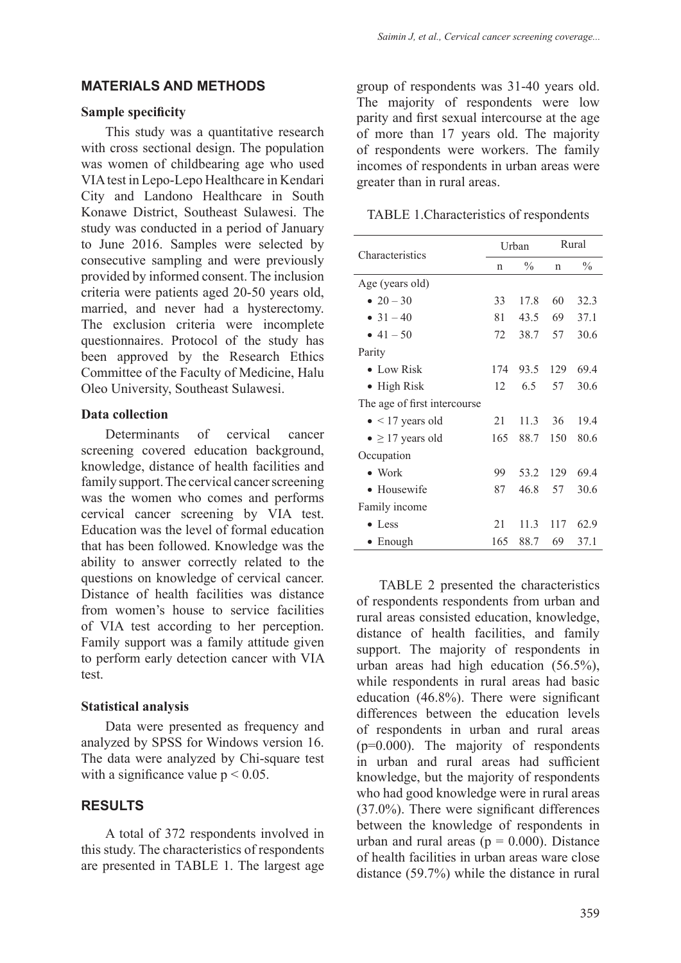#### **MATERIALS AND METHODS**

#### **Sample specificity**

This study was a quantitative research with cross sectional design. The population was women of childbearing age who used VIA test in Lepo-Lepo Healthcare in Kendari City and Landono Healthcare in South Konawe District, Southeast Sulawesi. The study was conducted in a period of January to June 2016. Samples were selected by consecutive sampling and were previously provided by informed consent. The inclusion criteria were patients aged 20-50 years old, married, and never had a hysterectomy. The exclusion criteria were incomplete questionnaires. Protocol of the study has been approved by the Research Ethics Committee of the Faculty of Medicine, Halu Oleo University, Southeast Sulawesi.

#### **Data collection**

Determinants of cervical cancer screening covered education background, knowledge, distance of health facilities and family support. The cervical cancer screening was the women who comes and performs cervical cancer screening by VIA test. Education was the level of formal education that has been followed. Knowledge was the ability to answer correctly related to the questions on knowledge of cervical cancer. Distance of health facilities was distance from women's house to service facilities of VIA test according to her perception. Family support was a family attitude given to perform early detection cancer with VIA test.

#### **Statistical analysis**

Data were presented as frequency and analyzed by SPSS for Windows version 16. The data were analyzed by Chi-square test with a significance value  $p \le 0.05$ .

## **RESULTS**

A total of 372 respondents involved in this study. The characteristics of respondents are presented in TABLE 1. The largest age group of respondents was 31-40 years old. The majority of respondents were low parity and first sexual intercourse at the age of more than 17 years old. The majority of respondents were workers. The family incomes of respondents in urban areas were greater than in rural areas.

TABLE 1.Characteristics of respondents

| Characteristics              | Urban |               | Rural |               |
|------------------------------|-------|---------------|-------|---------------|
|                              | n     | $\frac{0}{0}$ | n     | $\frac{0}{0}$ |
| Age (years old)              |       |               |       |               |
| • 20 – 30                    | 33    | 17.8          | 60    | 32.3          |
| • $31 - 40$                  | 81    | 43.5          | 69    | 37.1          |
| • $41 - 50$                  | 72    | 38.7          | 57    | 30.6          |
| Parity                       |       |               |       |               |
| $\bullet$ Low Risk           | 174   | 93.5          | 129   | 69.4          |
| $\bullet$ High Risk          | 12    | 6.5           | 57    | 30.6          |
| The age of first intercourse |       |               |       |               |
| $\bullet$ < 17 years old     | 21    | 11.3          | 36    | 19.4          |
| $\bullet \geq 17$ years old  | 165   | 88.7          | 150   | 80.6          |
| Occupation                   |       |               |       |               |
| $\bullet$ Work               | 99    | 53.2          | 129   | 69.4          |
| • Housewife                  | 87    | 46.8          | 57    | 30.6          |
| Family income                |       |               |       |               |
| $\bullet$ Less               | 21    | 11.3          | 117   | 62.9          |
| Enough                       | 165   | 88.7          | 69    | 37.1          |

TABLE 2 presented the characteristics of respondents respondents from urban and rural areas consisted education, knowledge, distance of health facilities, and family support. The majority of respondents in urban areas had high education (56.5%), while respondents in rural areas had basic education (46.8%). There were significant differences between the education levels of respondents in urban and rural areas (p=0.000). The majority of respondents in urban and rural areas had sufficient knowledge, but the majority of respondents who had good knowledge were in rural areas (37.0%). There were significant differences between the knowledge of respondents in urban and rural areas ( $p = 0.000$ ). Distance of health facilities in urban areas ware close distance (59.7%) while the distance in rural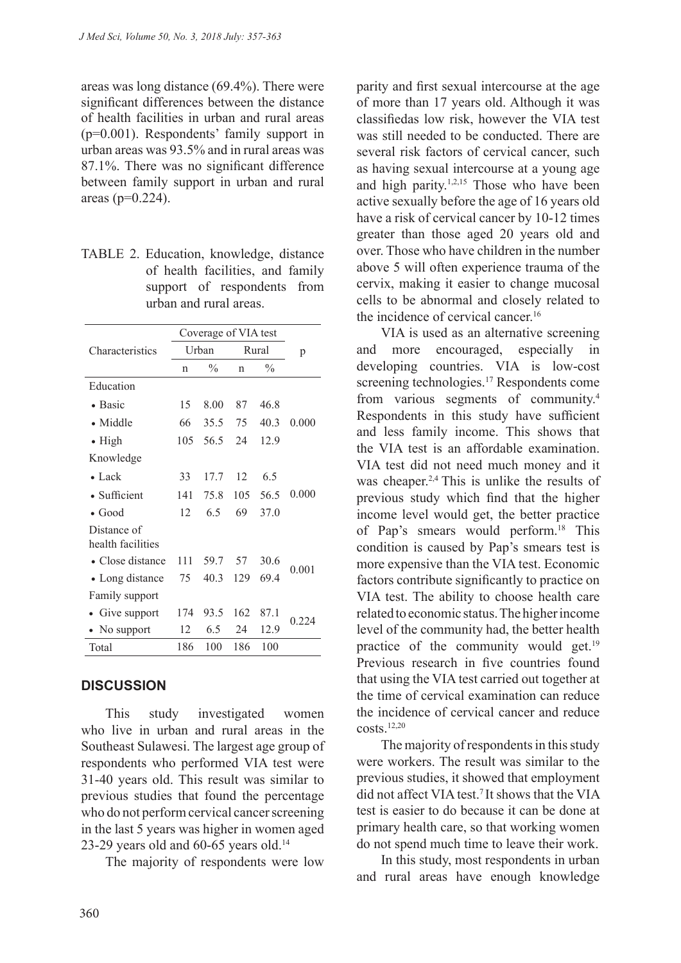areas was long distance (69.4%). There were significant differences between the distance of health facilities in urban and rural areas (p=0.001). Respondents' family support in urban areas was 93.5% and in rural areas was 87.1%. There was no significant difference between family support in urban and rural areas  $(p=0.224)$ .

| TABLE 2. Education, knowledge, distance |  |  |  |  |  |
|-----------------------------------------|--|--|--|--|--|
| of health facilities, and family        |  |  |  |  |  |
| support of respondents from             |  |  |  |  |  |
| urban and rural areas.                  |  |  |  |  |  |

|                                  | Coverage of VIA test |               |       |               |         |
|----------------------------------|----------------------|---------------|-------|---------------|---------|
| Characteristics                  | Urban                |               | Rural |               | p       |
|                                  | n                    | $\frac{0}{0}$ | n     | $\frac{0}{0}$ |         |
| Education                        |                      |               |       |               |         |
| • Basic                          | 15                   | 8.00          | 87    | 46.8          |         |
| $\bullet$ Middle                 | 66                   | 35.5          | 75    | 40 3          | 0.000   |
| • High                           | 105                  | 56.5          | 24    | 12.9          |         |
| Knowledge                        |                      |               |       |               |         |
| $\bullet$ Lack                   | 33                   | 17.7          | 12    | 6.5           |         |
| • Sufficient                     | 141                  | 75.8          | 105   | 56.5          | 0.000   |
| $\bullet$ Good                   | 12                   | 6.5           | 69    | 37.0          |         |
| Distance of<br>health facilities |                      |               |       |               |         |
| • Close distance                 | 111                  | 59.7          | 57    | 30.6          | 0.001   |
| • Long distance                  | 75                   | 40.3          | 129   | 694           |         |
| Family support                   |                      |               |       |               |         |
| Give support                     | 174                  | 93.5          | 162   | 87.1          | 0 2 2 4 |
| No support                       | 12                   | 6.5           | 24    | 12.9          |         |
| Total                            | 186                  | 100           | 186   | 100           |         |

## **DISCUSSION**

This study investigated women who live in urban and rural areas in the Southeast Sulawesi. The largest age group of respondents who performed VIA test were 31-40 years old. This result was similar to previous studies that found the percentage who do not perform cervical cancer screening in the last 5 years was higher in women aged 23-29 years old and  $60-65$  years old.<sup>14</sup>

The majority of respondents were low

parity and first sexual intercourse at the age of more than 17 years old. Although it was classifiedas low risk, however the VIA test was still needed to be conducted. There are several risk factors of cervical cancer, such as having sexual intercourse at a young age and high parity.1,2,15 Those who have been active sexually before the age of 16 years old have a risk of cervical cancer by 10-12 times greater than those aged 20 years old and over. Those who have children in the number above 5 will often experience trauma of the cervix, making it easier to change mucosal cells to be abnormal and closely related to the incidence of cervical cancer.<sup>16</sup>

VIA is used as an alternative screening and more encouraged, especially in developing countries. VIA is low-cost screening technologies.<sup>17</sup> Respondents come from various segments of community.4 Respondents in this study have sufficient and less family income. This shows that the VIA test is an affordable examination. VIA test did not need much money and it was cheaper.2,4 This is unlike the results of previous study which find that the higher income level would get, the better practice of Pap's smears would perform.18 This condition is caused by Pap's smears test is more expensive than the VIA test. Economic factors contribute significantly to practice on VIA test. The ability to choose health care related to economic status. The higher income level of the community had, the better health practice of the community would get.<sup>19</sup> Previous research in five countries found that using the VIA test carried out together at the time of cervical examination can reduce the incidence of cervical cancer and reduce costs. $12,20$ 

The majority of respondents in this study were workers. The result was similar to the previous studies, it showed that employment did not affect VIA test.7 It shows that the VIA test is easier to do because it can be done at primary health care, so that working women do not spend much time to leave their work.

In this study, most respondents in urban and rural areas have enough knowledge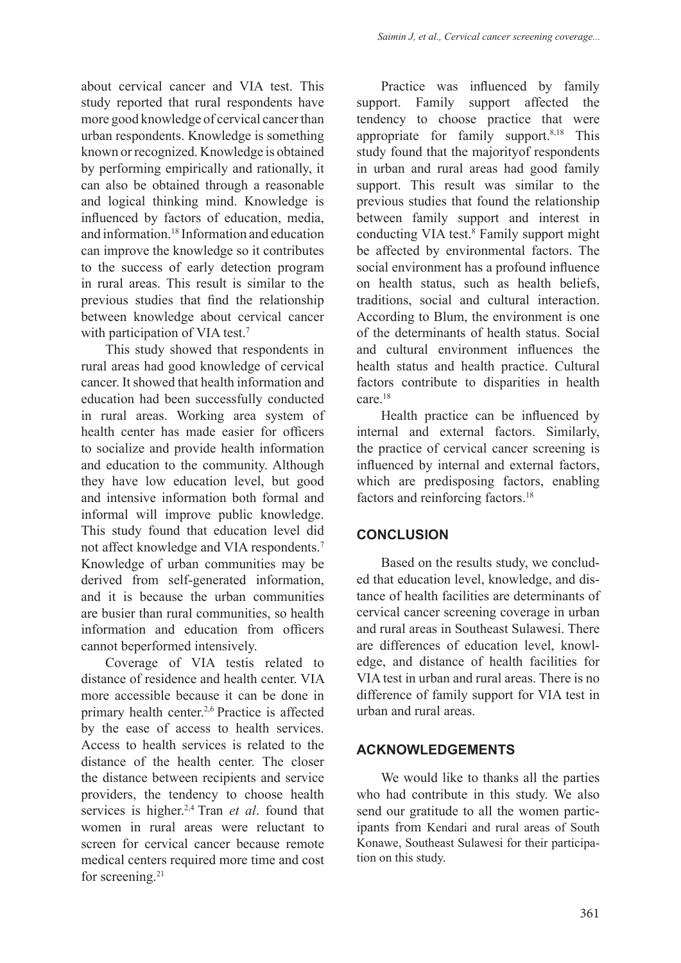about cervical cancer and VIA test. This study reported that rural respondents have more good knowledge of cervical cancer than urban respondents. Knowledge is something known or recognized. Knowledge is obtained by performing empirically and rationally, it can also be obtained through a reasonable and logical thinking mind. Knowledge is influenced by factors of education, media, and information.18 Information and education can improve the knowledge so it contributes to the success of early detection program in rural areas. This result is similar to the previous studies that find the relationship between knowledge about cervical cancer with participation of VIA test.<sup>7</sup>

This study showed that respondents in rural areas had good knowledge of cervical cancer. It showed that health information and education had been successfully conducted in rural areas. Working area system of health center has made easier for officers to socialize and provide health information and education to the community. Although they have low education level, but good and intensive information both formal and informal will improve public knowledge. This study found that education level did not affect knowledge and VIA respondents.7 Knowledge of urban communities may be derived from self-generated information, and it is because the urban communities are busier than rural communities, so health information and education from officers cannot beperformed intensively.

Coverage of VIA testis related to distance of residence and health center. VIA more accessible because it can be done in primary health center.2,6 Practice is affected by the ease of access to health services. Access to health services is related to the distance of the health center. The closer the distance between recipients and service providers, the tendency to choose health services is higher.2,4 Tran *et al*. found that women in rural areas were reluctant to screen for cervical cancer because remote medical centers required more time and cost for screening.<sup>21</sup>

Practice was influenced by family support. Family support affected the tendency to choose practice that were appropriate for family support. $8,18$  This study found that the majorityof respondents in urban and rural areas had good family support. This result was similar to the previous studies that found the relationship between family support and interest in conducting VIA test.<sup>8</sup> Family support might be affected by environmental factors. The social environment has a profound influence on health status, such as health beliefs, traditions, social and cultural interaction. According to Blum, the environment is one of the determinants of health status. Social and cultural environment influences the health status and health practice. Cultural factors contribute to disparities in health care.18

Health practice can be influenced by internal and external factors. Similarly, the practice of cervical cancer screening is influenced by internal and external factors, which are predisposing factors, enabling factors and reinforcing factors.<sup>18</sup>

## **CONCLUSION**

Based on the results study, we concluded that education level, knowledge, and distance of health facilities are determinants of cervical cancer screening coverage in urban and rural areas in Southeast Sulawesi. There are differences of education level, knowledge, and distance of health facilities for VIA test in urban and rural areas. There is no difference of family support for VIA test in urban and rural areas.

## **ACKNOWLEDGEMENTS**

We would like to thanks all the parties who had contribute in this study. We also send our gratitude to all the women participants from Kendari and rural areas of South Konawe, Southeast Sulawesi for their participation on this study.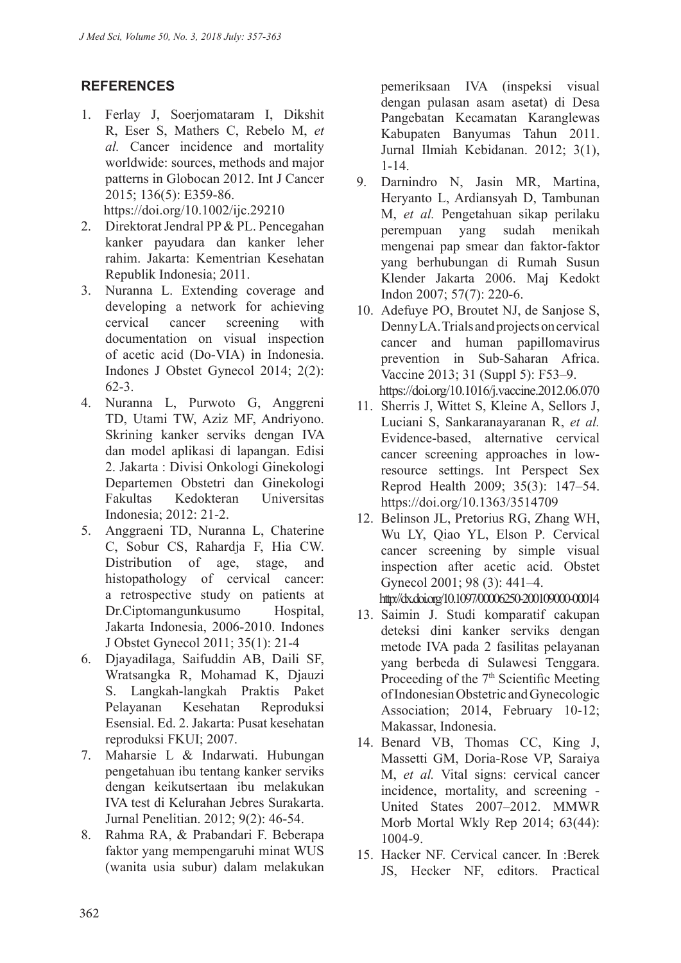# **REFERENCES**

- 1. Ferlay J, Soerjomataram I, Dikshit R, Eser S, Mathers C, Rebelo M, *et al.* Cancer incidence and mortality worldwide: sources, methods and major patterns in Globocan 2012. Int J Cancer 2015; 136(5): E359-86. https://doi.org/10.1002/ijc.29210
- 2. Direktorat Jendral PP & PL. Pencegahan kanker payudara dan kanker leher rahim. Jakarta: Kementrian Kesehatan Republik Indonesia; 2011.
- 3. Nuranna L. Extending coverage and developing a network for achieving cervical cancer screening with documentation on visual inspection of acetic acid (Do-VIA) in Indonesia. Indones J Obstet Gynecol 2014; 2(2): 62-3.
- 4. Nuranna L, Purwoto G, Anggreni TD, Utami TW, Aziz MF, Andriyono. Skrining kanker serviks dengan IVA dan model aplikasi di lapangan. Edisi 2. Jakarta : Divisi Onkologi Ginekologi Departemen Obstetri dan Ginekologi Fakultas Kedokteran Universitas Indonesia; 2012: 21-2.
- 5. Anggraeni TD, Nuranna L, Chaterine C, Sobur CS, Rahardja F, Hia CW. Distribution of age, stage, and histopathology of cervical cancer: a retrospective study on patients at Dr.Ciptomangunkusumo Hospital, Jakarta Indonesia, 2006-2010. Indones J Obstet Gynecol 2011; 35(1): 21-4
- 6. Djayadilaga, Saifuddin AB, Daili SF, Wratsangka R, Mohamad K, Djauzi S. Langkah-langkah Praktis Paket Pelayanan Kesehatan Reproduksi Esensial. Ed. 2. Jakarta: Pusat kesehatan reproduksi FKUI; 2007.
- 7. Maharsie L & Indarwati. Hubungan pengetahuan ibu tentang kanker serviks dengan keikutsertaan ibu melakukan IVA test di Kelurahan Jebres Surakarta. Jurnal Penelitian. 2012; 9(2): 46-54.
- 8. Rahma RA, & Prabandari F. Beberapa faktor yang mempengaruhi minat WUS (wanita usia subur) dalam melakukan

pemeriksaan IVA (inspeksi visual dengan pulasan asam asetat) di Desa Pangebatan Kecamatan Karanglewas Kabupaten Banyumas Tahun 2011. Jurnal Ilmiah Kebidanan. 2012; 3(1), 1-14.

- 9. Darnindro N, Jasin MR, Martina, Heryanto L, Ardiansyah D, Tambunan M, *et al.* Pengetahuan sikap perilaku perempuan yang sudah menikah mengenai pap smear dan faktor-faktor yang berhubungan di Rumah Susun Klender Jakarta 2006. Maj Kedokt Indon 2007; 57(7): 220-6.
- 10. Adefuye PO, Broutet NJ, de Sanjose S, Denny LA. Trials and projects on cervical cancer and human papillomavirus prevention in Sub-Saharan Africa. Vaccine 2013; 31 (Suppl 5): F53–9. https://doi.org/10.1016/j.vaccine.2012.06.070
- 11. Sherris J, Wittet S, Kleine A, Sellors J, Luciani S, Sankaranayaranan R, *et al.* Evidence-based, alternative cervical cancer screening approaches in lowresource settings. Int Perspect Sex Reprod Health 2009; 35(3): 147–54. https://doi.org/10.1363/3514709
- 12. Belinson JL, Pretorius RG, Zhang WH, Wu LY, Qiao YL, Elson P*.* Cervical cancer screening by simple visual inspection after acetic acid. Obstet Gynecol 2001; 98 (3): 441–4. http://dx.doi.org/10.1097/00006250-200109000-00014
- 13. Saimin J. Studi komparatif cakupan deteksi dini kanker serviks dengan metode IVA pada 2 fasilitas pelayanan yang berbeda di Sulawesi Tenggara. Proceeding of the 7<sup>th</sup> Scientific Meeting of Indonesian Obstetric and Gynecologic Association; 2014, February 10-12; Makassar, Indonesia.
- 14. Benard VB, Thomas CC, King J, Massetti GM, Doria-Rose VP, Saraiya M, *et al.* Vital signs: cervical cancer incidence, mortality, and screening - United States 2007–2012. MMWR Morb Mortal Wkly Rep 2014; 63(44): 1004-9.
- 15. Hacker NF. Cervical cancer. In :Berek JS, Hecker NF, editors. Practical